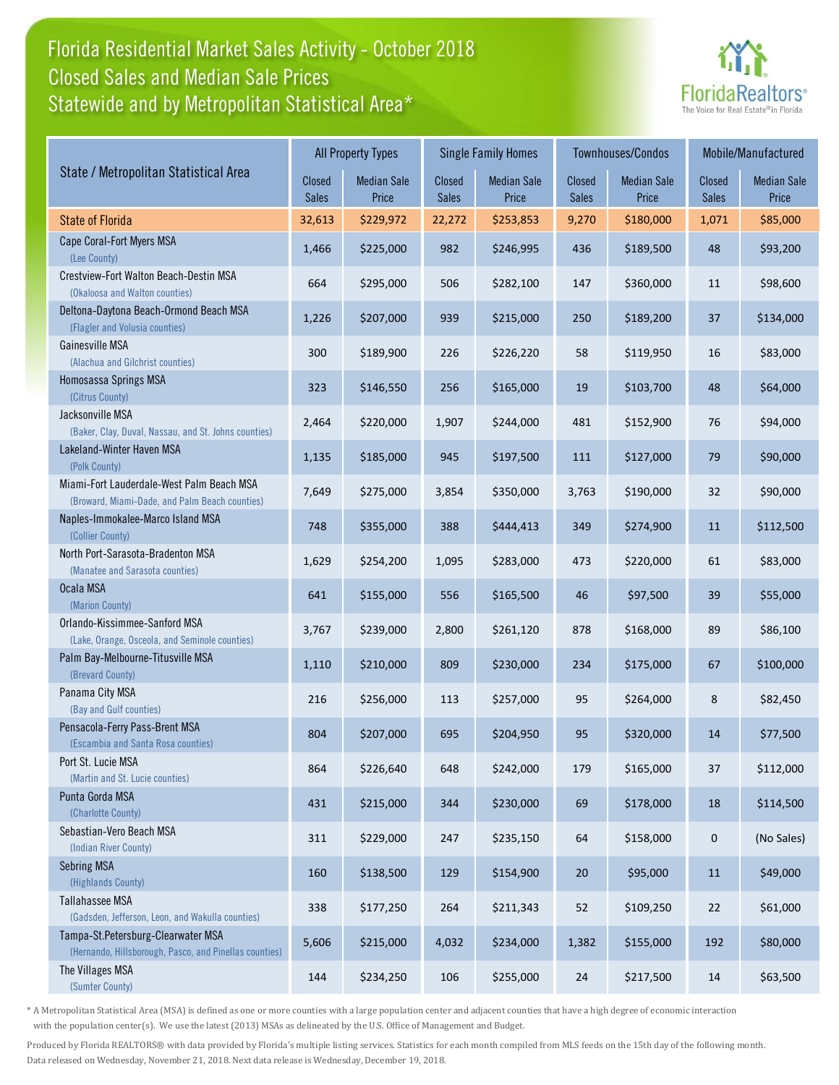## Florida Residential Market Sales Activity - October 2018 Statewide and by Metropolitan Statistical Area\* Closed Sales and Median Sale Prices



|                                                                                              | <b>All Property Types</b> |                             |                 | <b>Single Family Homes</b>  |                        | Townhouses/Condos           | Mobile/Manufactured    |                             |
|----------------------------------------------------------------------------------------------|---------------------------|-----------------------------|-----------------|-----------------------------|------------------------|-----------------------------|------------------------|-----------------------------|
| State / Metropolitan Statistical Area                                                        | Closed<br><b>Sales</b>    | <b>Median Sale</b><br>Price | Closed<br>Sales | <b>Median Sale</b><br>Price | <b>Closed</b><br>Sales | <b>Median Sale</b><br>Price | Closed<br><b>Sales</b> | <b>Median Sale</b><br>Price |
| <b>State of Florida</b>                                                                      | 32,613                    | \$229,972                   | 22,272          | \$253,853                   | 9,270                  | \$180,000                   | 1,071                  | \$85,000                    |
| Cape Coral-Fort Myers MSA<br>(Lee County)                                                    | 1,466                     | \$225,000                   | 982             | \$246,995                   | 436                    | \$189,500                   | 48                     | \$93,200                    |
| Crestview-Fort Walton Beach-Destin MSA<br>(Okaloosa and Walton counties)                     | 664                       | \$295,000                   | 506             | \$282,100                   | 147                    | \$360,000                   | 11                     | \$98,600                    |
| Deltona-Daytona Beach-Ormond Beach MSA<br>(Flagler and Volusia counties)                     | 1,226                     | \$207,000                   | 939             | \$215,000                   | 250                    | \$189,200                   | 37                     | \$134,000                   |
| Gainesville MSA<br>(Alachua and Gilchrist counties)                                          | 300                       | \$189,900                   | 226             | \$226,220                   | 58                     | \$119,950                   | 16                     | \$83,000                    |
| Homosassa Springs MSA<br>(Citrus County)                                                     | 323                       | \$146,550                   | 256             | \$165,000                   | 19                     | \$103,700                   | 48                     | \$64,000                    |
| Jacksonville MSA<br>(Baker, Clay, Duval, Nassau, and St. Johns counties)                     | 2,464                     | \$220,000                   | 1,907           | \$244,000                   | 481                    | \$152,900                   | 76                     | \$94,000                    |
| Lakeland-Winter Haven MSA<br>(Polk County)                                                   | 1,135                     | \$185,000                   | 945             | \$197,500                   | 111                    | \$127,000                   | 79                     | \$90,000                    |
| Miami-Fort Lauderdale-West Palm Beach MSA<br>(Broward, Miami-Dade, and Palm Beach counties)  | 7,649                     | \$275,000                   | 3,854           | \$350,000                   | 3,763                  | \$190,000                   | 32                     | \$90,000                    |
| Naples-Immokalee-Marco Island MSA<br>(Collier County)                                        | 748                       | \$355,000                   | 388             | \$444,413                   | 349                    | \$274,900                   | 11                     | \$112,500                   |
| North Port-Sarasota-Bradenton MSA<br>(Manatee and Sarasota counties)                         | 1,629                     | \$254,200                   | 1,095           | \$283,000                   | 473                    | \$220,000                   | 61                     | \$83,000                    |
| Ocala MSA<br>(Marion County)                                                                 | 641                       | \$155,000                   | 556             | \$165,500                   | 46                     | \$97,500                    | 39                     | \$55,000                    |
| Orlando-Kissimmee-Sanford MSA<br>(Lake, Orange, Osceola, and Seminole counties)              | 3,767                     | \$239,000                   | 2,800           | \$261,120                   | 878                    | \$168,000                   | 89                     | \$86,100                    |
| Palm Bay-Melbourne-Titusville MSA<br>(Brevard County)                                        | 1,110                     | \$210,000                   | 809             | \$230,000                   | 234                    | \$175,000                   | 67                     | \$100,000                   |
| Panama City MSA<br>(Bay and Gulf counties)                                                   | 216                       | \$256,000                   | 113             | \$257,000                   | 95                     | \$264,000                   | 8                      | \$82,450                    |
| Pensacola-Ferry Pass-Brent MSA<br>(Escambia and Santa Rosa counties)                         | 804                       | \$207,000                   | 695             | \$204,950                   | 95                     | \$320,000                   | 14                     | \$77,500                    |
| Port St. Lucie MSA<br>(Martin and St. Lucie counties)                                        | 864                       | \$226,640                   | 648             | \$242,000                   | 179                    | \$165,000                   | 37                     | \$112,000                   |
| Punta Gorda MSA<br>(Charlotte County)                                                        | 431                       | \$215,000                   | 344             | \$230,000                   | 69                     | \$178,000                   | 18                     | \$114,500                   |
| Sebastian-Vero Beach MSA<br>(Indian River County)                                            | 311                       | \$229,000                   | 247             | \$235,150                   | 64                     | \$158,000                   | $\mathbf 0$            | (No Sales)                  |
| <b>Sebring MSA</b><br>(Highlands County)                                                     | 160                       | \$138,500                   | 129             | \$154,900                   | 20                     | \$95,000                    | 11                     | \$49,000                    |
| Tallahassee MSA<br>(Gadsden, Jefferson, Leon, and Wakulla counties)                          | 338                       | \$177,250                   | 264             | \$211,343                   | 52                     | \$109,250                   | 22                     | \$61,000                    |
| Tampa-St.Petersburg-Clearwater MSA<br>(Hernando, Hillsborough, Pasco, and Pinellas counties) | 5,606                     | \$215,000                   | 4,032           | \$234,000                   | 1,382                  | \$155,000                   | 192                    | \$80,000                    |
| The Villages MSA<br>(Sumter County)                                                          | 144                       | \$234,250                   | 106             | \$255,000                   | 24                     | \$217,500                   | 14                     | \$63,500                    |

\* A Metropolitan Statistical Area (MSA) is defined as one or more counties with a large population center and adjacent counties that have a high degree of economic interaction with the population center(s). We use the latest (2013) MSAs as delineated by the U.S. Office of Management and Budget.

Produced by Florida REALTORS® with data provided by Florida's multiple listing services. Statistics for each month compiled from MLS feeds on the 15th day of the following month. Data released on Wednesday, November 21, 2018. Next data release is Wednesday, December 19, 2018.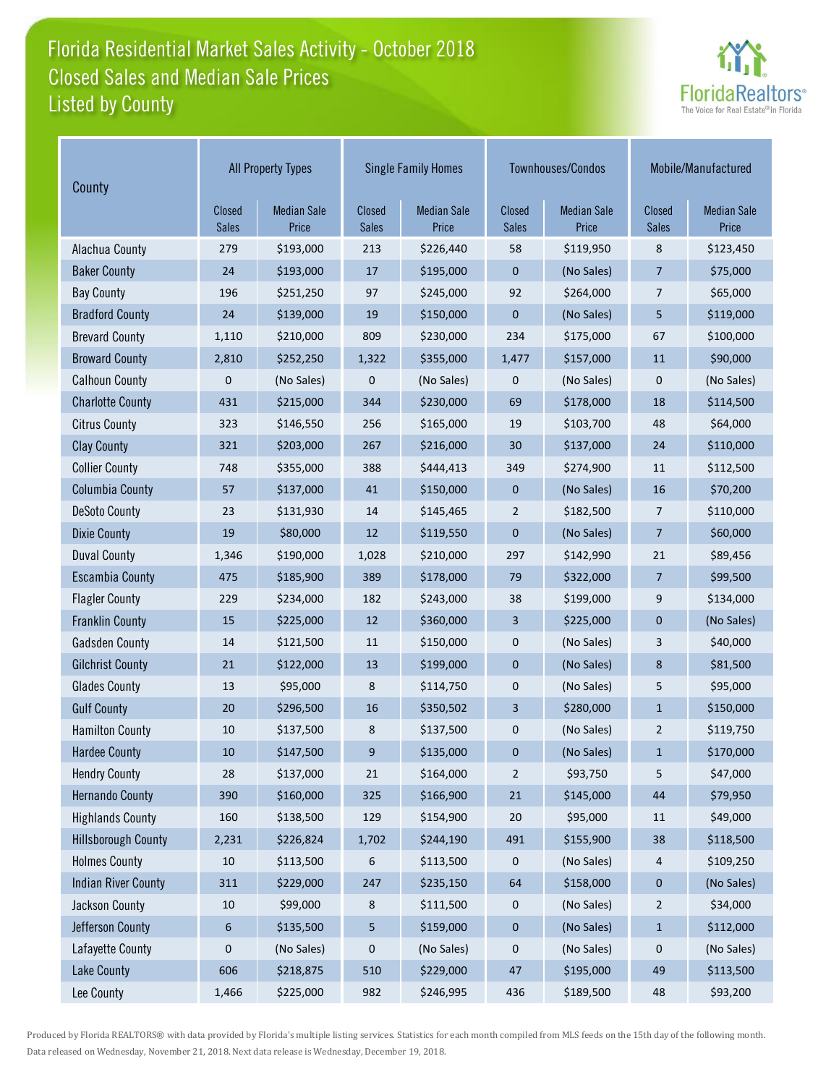## Florida Residential Market Sales Activity - October 2018 Listed by County Closed Sales and Median Sale Prices



| County                     | <b>All Property Types</b> |                             |                        | <b>Single Family Homes</b>  |                        | Townhouses/Condos           | Mobile/Manufactured           |                             |
|----------------------------|---------------------------|-----------------------------|------------------------|-----------------------------|------------------------|-----------------------------|-------------------------------|-----------------------------|
|                            | Closed<br>Sales           | <b>Median Sale</b><br>Price | Closed<br><b>Sales</b> | <b>Median Sale</b><br>Price | Closed<br><b>Sales</b> | <b>Median Sale</b><br>Price | <b>Closed</b><br><b>Sales</b> | <b>Median Sale</b><br>Price |
| Alachua County             | 279                       | \$193,000                   | 213                    | \$226,440                   | 58                     | \$119,950                   | 8                             | \$123,450                   |
| <b>Baker County</b>        | 24                        | \$193,000                   | 17                     | \$195,000                   | 0                      | (No Sales)                  | $\overline{7}$                | \$75,000                    |
| <b>Bay County</b>          | 196                       | \$251,250                   | 97                     | \$245,000                   | 92                     | \$264,000                   | $\overline{7}$                | \$65,000                    |
| <b>Bradford County</b>     | 24                        | \$139,000                   | 19                     | \$150,000                   | 0                      | (No Sales)                  | $\overline{5}$                | \$119,000                   |
| <b>Brevard County</b>      | 1,110                     | \$210,000                   | 809                    | \$230,000                   | 234                    | \$175,000                   | 67                            | \$100,000                   |
| <b>Broward County</b>      | 2,810                     | \$252,250                   | 1,322                  | \$355,000                   | 1,477                  | \$157,000                   | $11\,$                        | \$90,000                    |
| <b>Calhoun County</b>      | 0                         | (No Sales)                  | 0                      | (No Sales)                  | 0                      | (No Sales)                  | 0                             | (No Sales)                  |
| <b>Charlotte County</b>    | 431                       | \$215,000                   | 344                    | \$230,000                   | 69                     | \$178,000                   | 18                            | \$114,500                   |
| <b>Citrus County</b>       | 323                       | \$146,550                   | 256                    | \$165,000                   | 19                     | \$103,700                   | 48                            | \$64,000                    |
| <b>Clay County</b>         | 321                       | \$203,000                   | 267                    | \$216,000                   | 30                     | \$137,000                   | 24                            | \$110,000                   |
| <b>Collier County</b>      | 748                       | \$355,000                   | 388                    | \$444,413                   | 349                    | \$274,900                   | 11                            | \$112,500                   |
| <b>Columbia County</b>     | 57                        | \$137,000                   | 41                     | \$150,000                   | $\mathbf 0$            | (No Sales)                  | 16                            | \$70,200                    |
| <b>DeSoto County</b>       | 23                        | \$131,930                   | 14                     | \$145,465                   | $\overline{2}$         | \$182,500                   | $\overline{7}$                | \$110,000                   |
| <b>Dixie County</b>        | 19                        | \$80,000                    | 12                     | \$119,550                   | $\pmb{0}$              | (No Sales)                  | $\overline{7}$                | \$60,000                    |
| <b>Duval County</b>        | 1,346                     | \$190,000                   | 1,028                  | \$210,000                   | 297                    | \$142,990                   | 21                            | \$89,456                    |
| <b>Escambia County</b>     | 475                       | \$185,900                   | 389                    | \$178,000                   | 79                     | \$322,000                   | $\overline{7}$                | \$99,500                    |
| <b>Flagler County</b>      | 229                       | \$234,000                   | 182                    | \$243,000                   | 38                     | \$199,000                   | 9                             | \$134,000                   |
| <b>Franklin County</b>     | 15                        | \$225,000                   | 12                     | \$360,000                   | 3                      | \$225,000                   | $\mathbf{0}$                  | (No Sales)                  |
| <b>Gadsden County</b>      | 14                        | \$121,500                   | 11                     | \$150,000                   | 0                      | (No Sales)                  | 3                             | \$40,000                    |
| <b>Gilchrist County</b>    | 21                        | \$122,000                   | 13                     | \$199,000                   | 0                      | (No Sales)                  | 8                             | \$81,500                    |
| <b>Glades County</b>       | 13                        | \$95,000                    | 8                      | \$114,750                   | 0                      | (No Sales)                  | 5                             | \$95,000                    |
| <b>Gulf County</b>         | 20                        | \$296,500                   | 16                     | \$350,502                   | 3                      | \$280,000                   | $\mathbf{1}$                  | \$150,000                   |
| <b>Hamilton County</b>     | 10                        | \$137,500                   | 8                      | \$137,500                   | 0                      | (No Sales)                  | $\overline{2}$                | \$119,750                   |
| <b>Hardee County</b>       | 10                        | \$147,500                   | 9                      | \$135,000                   | 0                      | (No Sales)                  | $\mathbf{1}$                  | \$170,000                   |
| <b>Hendry County</b>       | 28                        | \$137,000                   | 21                     | \$164,000                   | $\overline{2}$         | \$93,750                    | 5                             | \$47,000                    |
| <b>Hernando County</b>     | 390                       | \$160,000                   | 325                    | \$166,900                   | $21\,$                 | \$145,000                   | $44\,$                        | \$79,950                    |
| <b>Highlands County</b>    | 160                       | \$138,500                   | 129                    | \$154,900                   | $20\,$                 | \$95,000                    | 11                            | \$49,000                    |
| <b>Hillsborough County</b> | 2,231                     | \$226,824                   | 1,702                  | \$244,190                   | 491                    | \$155,900                   | 38                            | \$118,500                   |
| <b>Holmes County</b>       | $10\,$                    | \$113,500                   | 6                      | \$113,500                   | 0                      | (No Sales)                  | $\overline{4}$                | \$109,250                   |
| <b>Indian River County</b> | 311                       | \$229,000                   | 247                    | \$235,150                   | 64                     | \$158,000                   | $\pmb{0}$                     | (No Sales)                  |
| Jackson County             | $10\,$                    | \$99,000                    | 8                      | \$111,500                   | 0                      | (No Sales)                  | $\overline{2}$                | \$34,000                    |
| Jefferson County           | 6                         | \$135,500                   | 5                      | \$159,000                   | 0                      | (No Sales)                  | $\mathbf 1$                   | \$112,000                   |
| Lafayette County           | 0                         | (No Sales)                  | $\pmb{0}$              | (No Sales)                  | 0                      | (No Sales)                  | 0                             | (No Sales)                  |
| Lake County                | 606                       | \$218,875                   | 510                    | \$229,000                   | 47                     | \$195,000                   | 49                            | \$113,500                   |
| Lee County                 | 1,466                     | \$225,000                   | 982                    | \$246,995                   | 436                    | \$189,500                   | 48                            | \$93,200                    |

Produced by Florida REALTORS® with data provided by Florida's multiple listing services. Statistics for each month compiled from MLS feeds on the 15th day of the following month. Data released on Wednesday, November 21, 2018. Next data release is Wednesday, December 19, 2018.